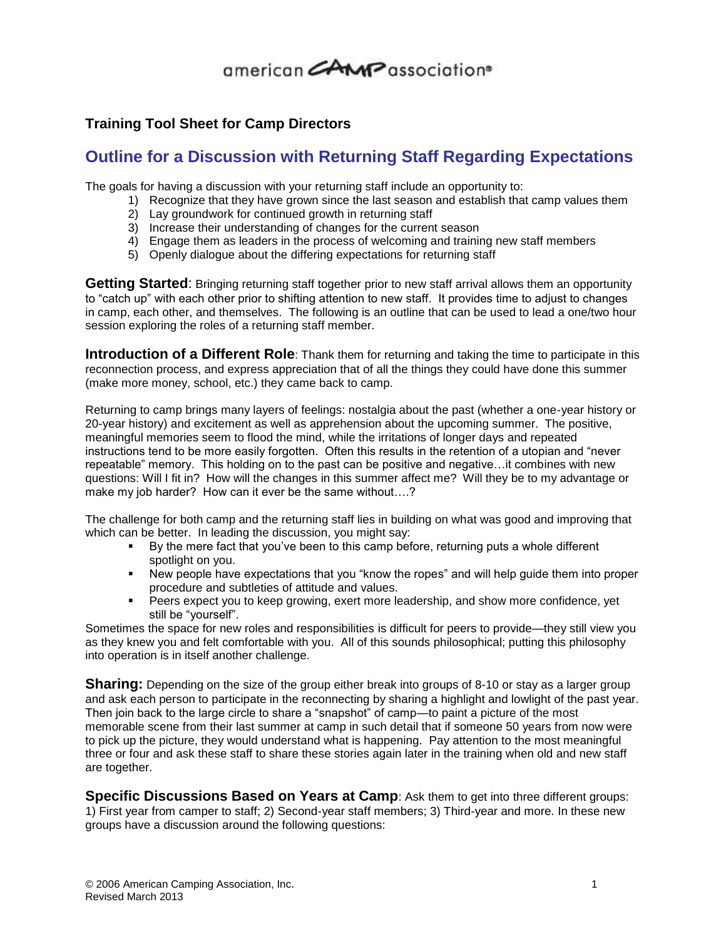## 

### **Training Tool Sheet for Camp Directors**

### **Outline for a Discussion with Returning Staff Regarding Expectations**

The goals for having a discussion with your returning staff include an opportunity to:

- 1) Recognize that they have grown since the last season and establish that camp values them
- 2) Lay groundwork for continued growth in returning staff
- 3) Increase their understanding of changes for the current season
- 4) Engage them as leaders in the process of welcoming and training new staff members
- 5) Openly dialogue about the differing expectations for returning staff

**Getting Started**: Bringing returning staff together prior to new staff arrival allows them an opportunity to "catch up" with each other prior to shifting attention to new staff. It provides time to adjust to changes in camp, each other, and themselves. The following is an outline that can be used to lead a one/two hour session exploring the roles of a returning staff member.

**Introduction of a Different Role**: Thank them for returning and taking the time to participate in this reconnection process, and express appreciation that of all the things they could have done this summer (make more money, school, etc.) they came back to camp.

Returning to camp brings many layers of feelings: nostalgia about the past (whether a one-year history or 20-year history) and excitement as well as apprehension about the upcoming summer. The positive, meaningful memories seem to flood the mind, while the irritations of longer days and repeated instructions tend to be more easily forgotten. Often this results in the retention of a utopian and "never repeatable" memory. This holding on to the past can be positive and negative…it combines with new questions: Will I fit in? How will the changes in this summer affect me? Will they be to my advantage or make my job harder? How can it ever be the same without....?

The challenge for both camp and the returning staff lies in building on what was good and improving that which can be better. In leading the discussion, you might say:

- By the mere fact that you've been to this camp before, returning puts a whole different spotlight on you.
- New people have expectations that you "know the ropes" and will help guide them into proper procedure and subtleties of attitude and values.
- Peers expect you to keep growing, exert more leadership, and show more confidence, yet still be "yourself".

Sometimes the space for new roles and responsibilities is difficult for peers to provide—they still view you as they knew you and felt comfortable with you. All of this sounds philosophical; putting this philosophy into operation is in itself another challenge.

**Sharing:** Depending on the size of the group either break into groups of 8-10 or stay as a larger group and ask each person to participate in the reconnecting by sharing a highlight and lowlight of the past year. Then join back to the large circle to share a "snapshot" of camp—to paint a picture of the most memorable scene from their last summer at camp in such detail that if someone 50 years from now were to pick up the picture, they would understand what is happening. Pay attention to the most meaningful three or four and ask these staff to share these stories again later in the training when old and new staff are together.

**Specific Discussions Based on Years at Camp**: Ask them to get into three different groups: 1) First year from camper to staff; 2) Second-year staff members; 3) Third-year and more. In these new groups have a discussion around the following questions: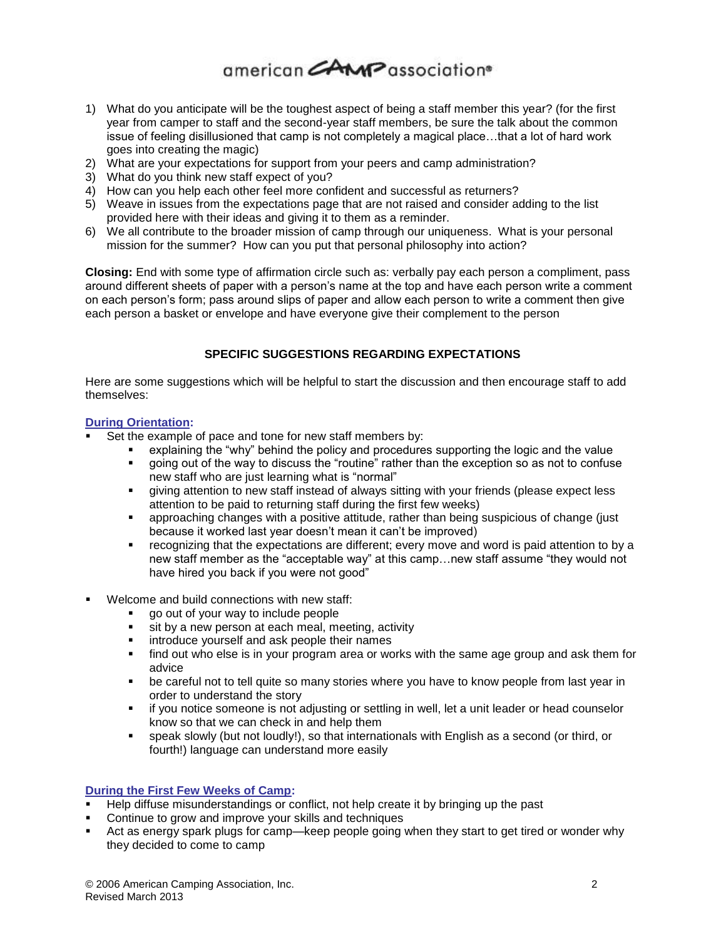# 

- 1) What do you anticipate will be the toughest aspect of being a staff member this year? (for the first year from camper to staff and the second-year staff members, be sure the talk about the common issue of feeling disillusioned that camp is not completely a magical place…that a lot of hard work goes into creating the magic)
- 2) What are your expectations for support from your peers and camp administration?
- 3) What do you think new staff expect of you?
- 4) How can you help each other feel more confident and successful as returners?
- 5) Weave in issues from the expectations page that are not raised and consider adding to the list provided here with their ideas and giving it to them as a reminder.
- 6) We all contribute to the broader mission of camp through our uniqueness. What is your personal mission for the summer? How can you put that personal philosophy into action?

**Closing:** End with some type of affirmation circle such as: verbally pay each person a compliment, pass around different sheets of paper with a person's name at the top and have each person write a comment on each person's form; pass around slips of paper and allow each person to write a comment then give each person a basket or envelope and have everyone give their complement to the person

#### **SPECIFIC SUGGESTIONS REGARDING EXPECTATIONS**

Here are some suggestions which will be helpful to start the discussion and then encourage staff to add themselves:

#### **During Orientation:**

- Set the example of pace and tone for new staff members by:
	- explaining the "why" behind the policy and procedures supporting the logic and the value
	- going out of the way to discuss the "routine" rather than the exception so as not to confuse new staff who are just learning what is "normal"
	- giving attention to new staff instead of always sitting with your friends (please expect less attention to be paid to returning staff during the first few weeks)
	- approaching changes with a positive attitude, rather than being suspicious of change (just because it worked last year doesn't mean it can't be improved)
	- recognizing that the expectations are different; every move and word is paid attention to by a new staff member as the "acceptable way" at this camp…new staff assume "they would not have hired you back if you were not good"
- Welcome and build connections with new staff:
	- go out of your way to include people
	- sit by a new person at each meal, meeting, activity
	- **EXEDER** introduce yourself and ask people their names
	- find out who else is in your program area or works with the same age group and ask them for advice
	- be careful not to tell quite so many stories where you have to know people from last year in order to understand the story
	- **if you notice someone is not adjusting or settling in well, let a unit leader or head counselor** know so that we can check in and help them
	- speak slowly (but not loudly!), so that internationals with English as a second (or third, or fourth!) language can understand more easily

#### **During the First Few Weeks of Camp:**

- Help diffuse misunderstandings or conflict, not help create it by bringing up the past
- Continue to grow and improve your skills and techniques
- Act as energy spark plugs for camp—keep people going when they start to get tired or wonder why they decided to come to camp